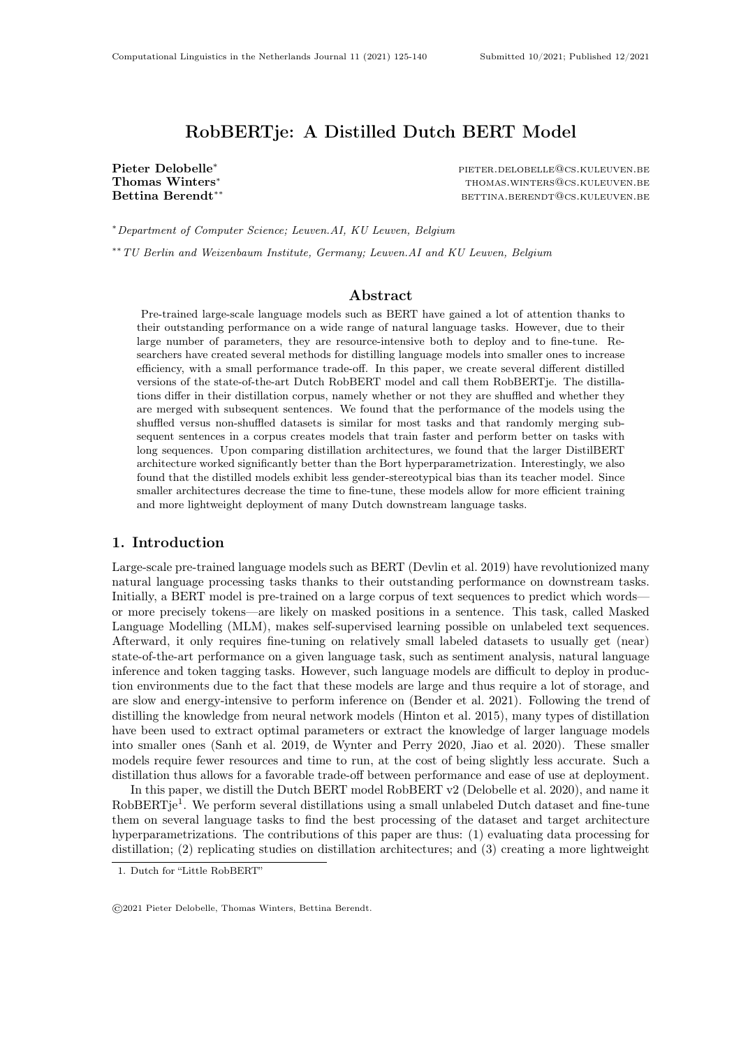## RobBERTje: A Distilled Dutch BERT Model

Pieter Delobelle<sup>∗</sup> pieter.delobelle<sup>∗</sup> pieter.delobelle®cs.kuleuven.be<br>Thomas Winters<sup>\*</sup> pierer.delobelle@cs.kuleuven.be Thomas Winters<sup>∗</sup> thomas.winters®cs.kuleuven.be<br>Bettina Berendt\*\* the second term of the second betting betting between the betting between the between the second BETTINA.BERENDT@CS.KULEUVEN.BE

<sup>∗</sup>Department of Computer Science; Leuven.AI, KU Leuven, Belgium

∗∗TU Berlin and Weizenbaum Institute, Germany; Leuven.AI and KU Leuven, Belgium

#### Abstract

Pre-trained large-scale language models such as BERT have gained a lot of attention thanks to their outstanding performance on a wide range of natural language tasks. However, due to their large number of parameters, they are resource-intensive both to deploy and to fine-tune. Researchers have created several methods for distilling language models into smaller ones to increase efficiency, with a small performance trade-off. In this paper, we create several different distilled versions of the state-of-the-art Dutch RobBERT model and call them RobBERTje. The distillations differ in their distillation corpus, namely whether or not they are shuffled and whether they are merged with subsequent sentences. We found that the performance of the models using the shuffled versus non-shuffled datasets is similar for most tasks and that randomly merging subsequent sentences in a corpus creates models that train faster and perform better on tasks with long sequences. Upon comparing distillation architectures, we found that the larger DistilBERT architecture worked significantly better than the Bort hyperparametrization. Interestingly, we also found that the distilled models exhibit less gender-stereotypical bias than its teacher model. Since smaller architectures decrease the time to fine-tune, these models allow for more efficient training and more lightweight deployment of many Dutch downstream language tasks.

#### 1. Introduction

Large-scale pre-trained language models such as BERT (Devlin et al. 2019) have revolutionized many natural language processing tasks thanks to their outstanding performance on downstream tasks. Initially, a BERT model is pre-trained on a large corpus of text sequences to predict which words or more precisely tokens—are likely on masked positions in a sentence. This task, called Masked Language Modelling (MLM), makes self-supervised learning possible on unlabeled text sequences. Afterward, it only requires fine-tuning on relatively small labeled datasets to usually get (near) state-of-the-art performance on a given language task, such as sentiment analysis, natural language inference and token tagging tasks. However, such language models are difficult to deploy in production environments due to the fact that these models are large and thus require a lot of storage, and are slow and energy-intensive to perform inference on (Bender et al. 2021). Following the trend of distilling the knowledge from neural network models (Hinton et al. 2015), many types of distillation have been used to extract optimal parameters or extract the knowledge of larger language models into smaller ones (Sanh et al. 2019, de Wynter and Perry 2020, Jiao et al. 2020). These smaller models require fewer resources and time to run, at the cost of being slightly less accurate. Such a distillation thus allows for a favorable trade-off between performance and ease of use at deployment.

In this paper, we distill the Dutch BERT model RobBERT v2 (Delobelle et al. 2020), and name it RobBERTje<sup>[1](#page-0-0)</sup>. We perform several distillations using a small unlabeled Dutch dataset and fine-tune them on several language tasks to find the best processing of the dataset and target architecture hyperparametrizations. The contributions of this paper are thus: (1) evaluating data processing for distillation; (2) replicating studies on distillation architectures; and (3) creating a more lightweight

<span id="page-0-0"></span><sup>1.</sup> Dutch for "Little RobBERT"

<sup>©2021</sup> Pieter Delobelle, Thomas Winters, Bettina Berendt.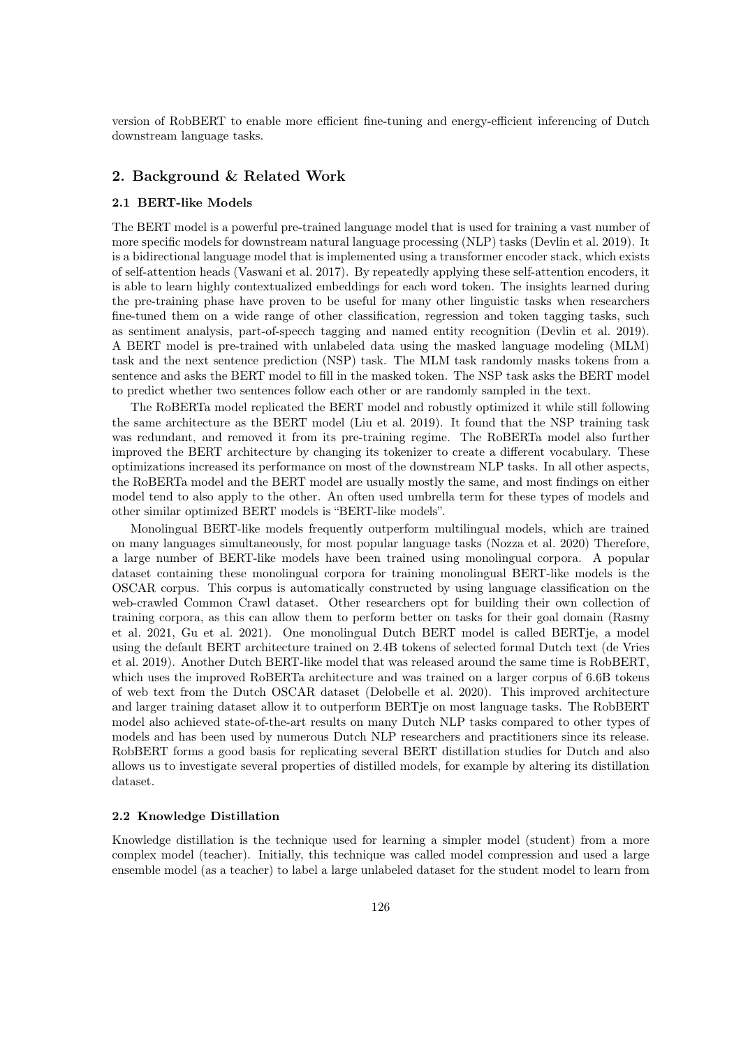version of RobBERT to enable more efficient fine-tuning and energy-efficient inferencing of Dutch downstream language tasks.

## 2. Background & Related Work

#### 2.1 BERT-like Models

The BERT model is a powerful pre-trained language model that is used for training a vast number of more specific models for downstream natural language processing (NLP) tasks (Devlin et al. 2019). It is a bidirectional language model that is implemented using a transformer encoder stack, which exists of self-attention heads (Vaswani et al. 2017). By repeatedly applying these self-attention encoders, it is able to learn highly contextualized embeddings for each word token. The insights learned during the pre-training phase have proven to be useful for many other linguistic tasks when researchers fine-tuned them on a wide range of other classification, regression and token tagging tasks, such as sentiment analysis, part-of-speech tagging and named entity recognition (Devlin et al. 2019). A BERT model is pre-trained with unlabeled data using the masked language modeling (MLM) task and the next sentence prediction (NSP) task. The MLM task randomly masks tokens from a sentence and asks the BERT model to fill in the masked token. The NSP task asks the BERT model to predict whether two sentences follow each other or are randomly sampled in the text.

The RoBERTa model replicated the BERT model and robustly optimized it while still following the same architecture as the BERT model (Liu et al. 2019). It found that the NSP training task was redundant, and removed it from its pre-training regime. The RoBERTa model also further improved the BERT architecture by changing its tokenizer to create a different vocabulary. These optimizations increased its performance on most of the downstream NLP tasks. In all other aspects, the RoBERTa model and the BERT model are usually mostly the same, and most findings on either model tend to also apply to the other. An often used umbrella term for these types of models and other similar optimized BERT models is "BERT-like models".

Monolingual BERT-like models frequently outperform multilingual models, which are trained on many languages simultaneously, for most popular language tasks (Nozza et al. 2020) Therefore, a large number of BERT-like models have been trained using monolingual corpora. A popular dataset containing these monolingual corpora for training monolingual BERT-like models is the OSCAR corpus. This corpus is automatically constructed by using language classification on the web-crawled Common Crawl dataset. Other researchers opt for building their own collection of training corpora, as this can allow them to perform better on tasks for their goal domain (Rasmy et al. 2021, Gu et al. 2021). One monolingual Dutch BERT model is called BERTje, a model using the default BERT architecture trained on 2.4B tokens of selected formal Dutch text (de Vries et al. 2019). Another Dutch BERT-like model that was released around the same time is RobBERT, which uses the improved RoBERTa architecture and was trained on a larger corpus of 6.6B tokens of web text from the Dutch OSCAR dataset (Delobelle et al. 2020). This improved architecture and larger training dataset allow it to outperform BERTje on most language tasks. The RobBERT model also achieved state-of-the-art results on many Dutch NLP tasks compared to other types of models and has been used by numerous Dutch NLP researchers and practitioners since its release. RobBERT forms a good basis for replicating several BERT distillation studies for Dutch and also allows us to investigate several properties of distilled models, for example by altering its distillation dataset.

#### 2.2 Knowledge Distillation

Knowledge distillation is the technique used for learning a simpler model (student) from a more complex model (teacher). Initially, this technique was called model compression and used a large ensemble model (as a teacher) to label a large unlabeled dataset for the student model to learn from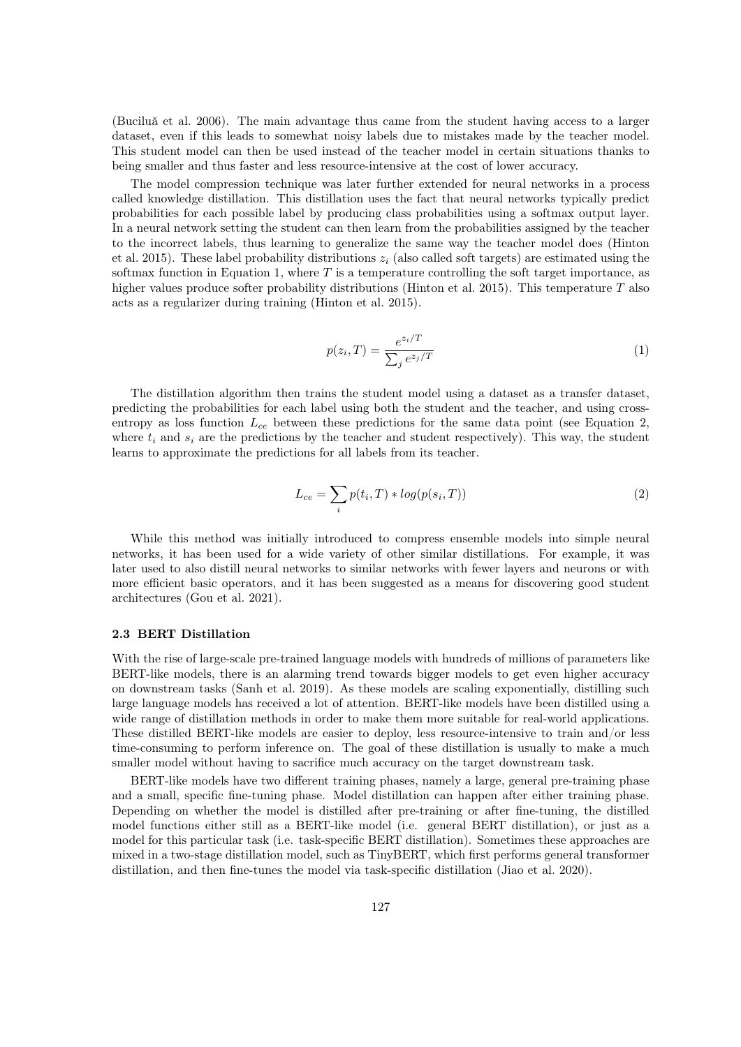(Buciluǎ et al. 2006). The main advantage thus came from the student having access to a larger dataset, even if this leads to somewhat noisy labels due to mistakes made by the teacher model. This student model can then be used instead of the teacher model in certain situations thanks to being smaller and thus faster and less resource-intensive at the cost of lower accuracy.

The model compression technique was later further extended for neural networks in a process called knowledge distillation. This distillation uses the fact that neural networks typically predict probabilities for each possible label by producing class probabilities using a softmax output layer. In a neural network setting the student can then learn from the probabilities assigned by the teacher to the incorrect labels, thus learning to generalize the same way the teacher model does (Hinton et al. 2015). These label probability distributions  $z_i$  (also called soft targets) are estimated using the softmax function in Equation [1,](#page-2-0) where  $T$  is a temperature controlling the soft target importance, as higher values produce softer probability distributions (Hinton et al. 2015). This temperature T also acts as a regularizer during training (Hinton et al. 2015).

<span id="page-2-0"></span>
$$
p(z_i, T) = \frac{e^{z_i/T}}{\sum_j e^{z_j/T}}
$$
\n
$$
\tag{1}
$$

The distillation algorithm then trains the student model using a dataset as a transfer dataset, predicting the probabilities for each label using both the student and the teacher, and using crossentropy as loss function  $L_{ce}$  between these predictions for the same data point (see Equation [2,](#page-2-1) where  $t_i$  and  $s_i$  are the predictions by the teacher and student respectively). This way, the student learns to approximate the predictions for all labels from its teacher.

<span id="page-2-1"></span>
$$
L_{ce} = \sum_{i} p(t_i, T) * log(p(s_i, T))
$$
\n(2)

While this method was initially introduced to compress ensemble models into simple neural networks, it has been used for a wide variety of other similar distillations. For example, it was later used to also distill neural networks to similar networks with fewer layers and neurons or with more efficient basic operators, and it has been suggested as a means for discovering good student architectures (Gou et al. 2021).

#### <span id="page-2-2"></span>2.3 BERT Distillation

With the rise of large-scale pre-trained language models with hundreds of millions of parameters like BERT-like models, there is an alarming trend towards bigger models to get even higher accuracy on downstream tasks (Sanh et al. 2019). As these models are scaling exponentially, distilling such large language models has received a lot of attention. BERT-like models have been distilled using a wide range of distillation methods in order to make them more suitable for real-world applications. These distilled BERT-like models are easier to deploy, less resource-intensive to train and/or less time-consuming to perform inference on. The goal of these distillation is usually to make a much smaller model without having to sacrifice much accuracy on the target downstream task.

BERT-like models have two different training phases, namely a large, general pre-training phase and a small, specific fine-tuning phase. Model distillation can happen after either training phase. Depending on whether the model is distilled after pre-training or after fine-tuning, the distilled model functions either still as a BERT-like model (i.e. general BERT distillation), or just as a model for this particular task (i.e. task-specific BERT distillation). Sometimes these approaches are mixed in a two-stage distillation model, such as TinyBERT, which first performs general transformer distillation, and then fine-tunes the model via task-specific distillation (Jiao et al. 2020).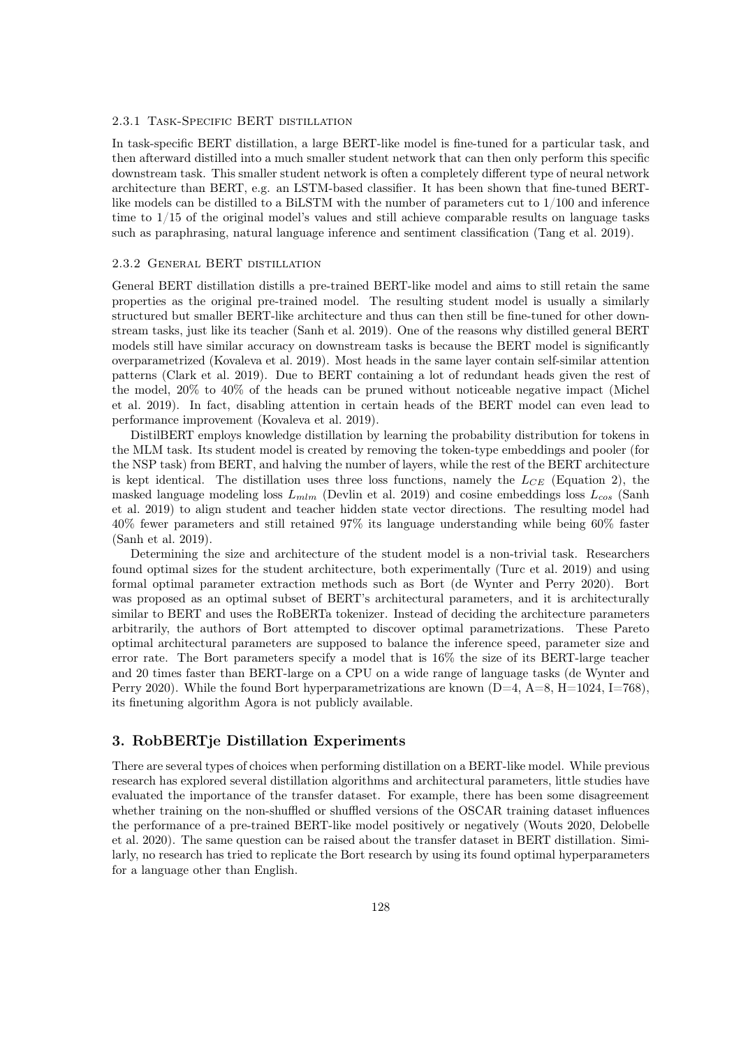#### 2.3.1 Task-Specific BERT distillation

In task-specific BERT distillation, a large BERT-like model is fine-tuned for a particular task, and then afterward distilled into a much smaller student network that can then only perform this specific downstream task. This smaller student network is often a completely different type of neural network architecture than BERT, e.g. an LSTM-based classifier. It has been shown that fine-tuned BERTlike models can be distilled to a BiLSTM with the number of parameters cut to 1/100 and inference time to 1/15 of the original model's values and still achieve comparable results on language tasks such as paraphrasing, natural language inference and sentiment classification (Tang et al. 2019).

#### 2.3.2 General BERT distillation

General BERT distillation distills a pre-trained BERT-like model and aims to still retain the same properties as the original pre-trained model. The resulting student model is usually a similarly structured but smaller BERT-like architecture and thus can then still be fine-tuned for other downstream tasks, just like its teacher (Sanh et al. 2019). One of the reasons why distilled general BERT models still have similar accuracy on downstream tasks is because the BERT model is significantly overparametrized (Kovaleva et al. 2019). Most heads in the same layer contain self-similar attention patterns (Clark et al. 2019). Due to BERT containing a lot of redundant heads given the rest of the model, 20% to 40% of the heads can be pruned without noticeable negative impact (Michel et al. 2019). In fact, disabling attention in certain heads of the BERT model can even lead to performance improvement (Kovaleva et al. 2019).

DistilBERT employs knowledge distillation by learning the probability distribution for tokens in the MLM task. Its student model is created by removing the token-type embeddings and pooler (for the NSP task) from BERT, and halving the number of layers, while the rest of the BERT architecture is kept identical. The distillation uses three loss functions, namely the  $L_{CE}$  (Equation [2\)](#page-2-1), the masked language modeling loss  $L_{mlm}$  (Devlin et al. 2019) and cosine embeddings loss  $L_{cos}$  (Sanh et al. 2019) to align student and teacher hidden state vector directions. The resulting model had 40% fewer parameters and still retained 97% its language understanding while being 60% faster (Sanh et al. 2019).

Determining the size and architecture of the student model is a non-trivial task. Researchers found optimal sizes for the student architecture, both experimentally (Turc et al. 2019) and using formal optimal parameter extraction methods such as Bort (de Wynter and Perry 2020). Bort was proposed as an optimal subset of BERT's architectural parameters, and it is architecturally similar to BERT and uses the RoBERTa tokenizer. Instead of deciding the architecture parameters arbitrarily, the authors of Bort attempted to discover optimal parametrizations. These Pareto optimal architectural parameters are supposed to balance the inference speed, parameter size and error rate. The Bort parameters specify a model that is 16% the size of its BERT-large teacher and 20 times faster than BERT-large on a CPU on a wide range of language tasks (de Wynter and Perry 2020). While the found Bort hyperparametrizations are known  $(D=4, A=8, H=1024, I=768)$ . its finetuning algorithm Agora is not publicly available.

## 3. RobBERTje Distillation Experiments

There are several types of choices when performing distillation on a BERT-like model. While previous research has explored several distillation algorithms and architectural parameters, little studies have evaluated the importance of the transfer dataset. For example, there has been some disagreement whether training on the non-shuffled or shuffled versions of the OSCAR training dataset influences the performance of a pre-trained BERT-like model positively or negatively (Wouts 2020, Delobelle et al. 2020). The same question can be raised about the transfer dataset in BERT distillation. Similarly, no research has tried to replicate the Bort research by using its found optimal hyperparameters for a language other than English.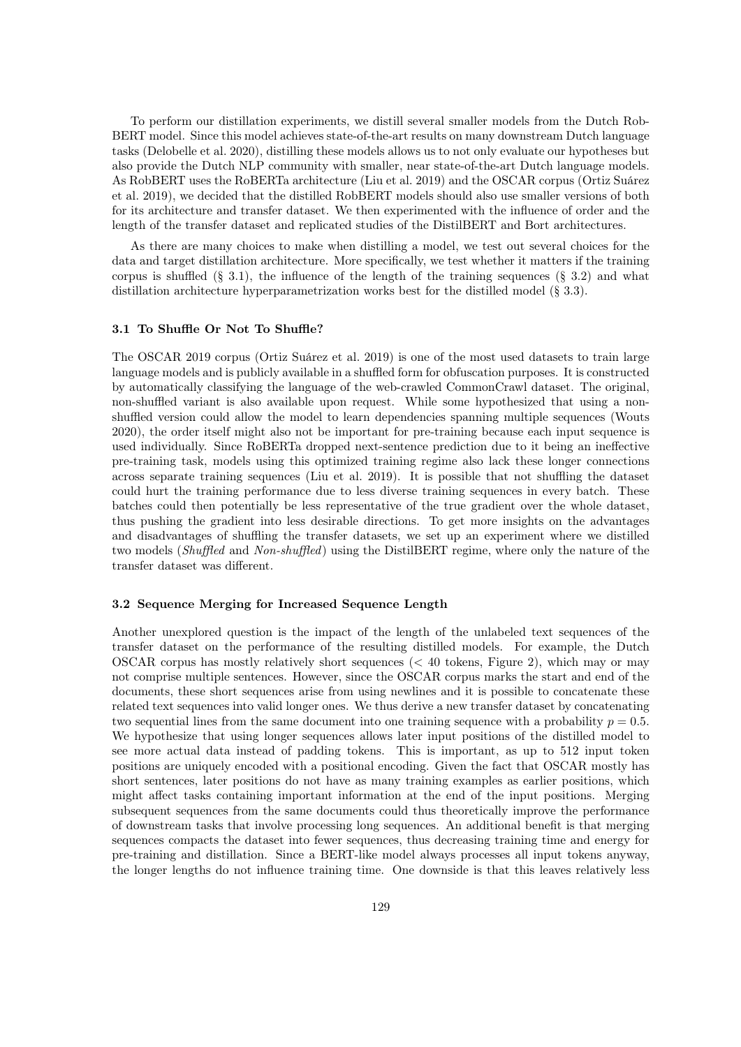To perform our distillation experiments, we distill several smaller models from the Dutch Rob-BERT model. Since this model achieves state-of-the-art results on many downstream Dutch language tasks (Delobelle et al. 2020), distilling these models allows us to not only evaluate our hypotheses but also provide the Dutch NLP community with smaller, near state-of-the-art Dutch language models. As RobBERT uses the RoBERTa architecture (Liu et al. 2019) and the OSCAR corpus (Ortiz Suárez et al. 2019), we decided that the distilled RobBERT models should also use smaller versions of both for its architecture and transfer dataset. We then experimented with the influence of order and the length of the transfer dataset and replicated studies of the DistilBERT and Bort architectures.

As there are many choices to make when distilling a model, we test out several choices for the data and target distillation architecture. More specifically, we test whether it matters if the training corpus is shuffled [\(§ 3.1\)](#page-4-0), the influence of the length of the training sequences [\(§ 3.2\)](#page-4-1) and what distillation architecture hyperparametrization works best for the distilled model [\(§ 3.3\)](#page-5-0).

#### <span id="page-4-0"></span>3.1 To Shuffle Or Not To Shuffle?

The OSCAR 2019 corpus (Ortiz Suárez et al. 2019) is one of the most used datasets to train large language models and is publicly available in a shuffled form for obfuscation purposes. It is constructed by automatically classifying the language of the web-crawled CommonCrawl dataset. The original, non-shuffled variant is also available upon request. While some hypothesized that using a nonshuffled version could allow the model to learn dependencies spanning multiple sequences (Wouts 2020), the order itself might also not be important for pre-training because each input sequence is used individually. Since RoBERTa dropped next-sentence prediction due to it being an ineffective pre-training task, models using this optimized training regime also lack these longer connections across separate training sequences (Liu et al. 2019). It is possible that not shuffling the dataset could hurt the training performance due to less diverse training sequences in every batch. These batches could then potentially be less representative of the true gradient over the whole dataset, thus pushing the gradient into less desirable directions. To get more insights on the advantages and disadvantages of shuffling the transfer datasets, we set up an experiment where we distilled two models (Shuffled and Non-shuffled) using the DistilBERT regime, where only the nature of the transfer dataset was different.

#### <span id="page-4-1"></span>3.2 Sequence Merging for Increased Sequence Length

Another unexplored question is the impact of the length of the unlabeled text sequences of the transfer dataset on the performance of the resulting distilled models. For example, the Dutch OSCAR corpus has mostly relatively short sequences (< 40 tokens, [Figure 2\)](#page-6-0), which may or may not comprise multiple sentences. However, since the OSCAR corpus marks the start and end of the documents, these short sequences arise from using newlines and it is possible to concatenate these related text sequences into valid longer ones. We thus derive a new transfer dataset by concatenating two sequential lines from the same document into one training sequence with a probability  $p = 0.5$ . We hypothesize that using longer sequences allows later input positions of the distilled model to see more actual data instead of padding tokens. This is important, as up to 512 input token positions are uniquely encoded with a positional encoding. Given the fact that OSCAR mostly has short sentences, later positions do not have as many training examples as earlier positions, which might affect tasks containing important information at the end of the input positions. Merging subsequent sequences from the same documents could thus theoretically improve the performance of downstream tasks that involve processing long sequences. An additional benefit is that merging sequences compacts the dataset into fewer sequences, thus decreasing training time and energy for pre-training and distillation. Since a BERT-like model always processes all input tokens anyway, the longer lengths do not influence training time. One downside is that this leaves relatively less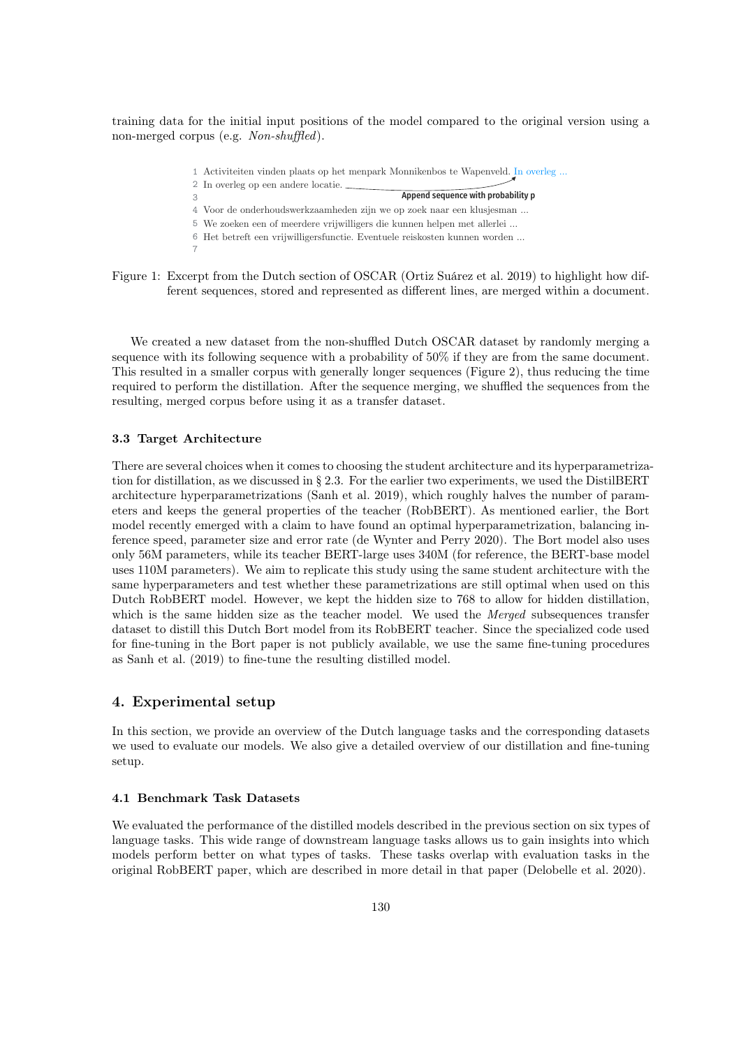training data for the initial input positions of the model compared to the original version using a non-merged corpus (e.g. Non-shuffled).

- Activiteiten vinden plaats op het menpark Monnikenbos te Wapenveld. In overleg … 1
- In overleg op een andere locatie. 2
	- Append sequence with probability p
- Voor de onderhoudswerkzaamheden zijn we op zoek naar een klusjesman … 4 We zoeken een of meerdere vrijwilligers die kunnen helpen met allerlei … 5
- Het betreft een vrijwilligersfunctie. Eventuele reiskosten kunnen worden … 6
- Figure 1: Excerpt from the Dutch section of OSCAR (Ortiz Suárez et al. 2019) to highlight how different sequences, stored and represented as different lines, are merged within a document.

We created a new dataset from the non-shuffled Dutch OSCAR dataset by randomly merging a sequence with its following sequence with a probability of 50% if they are from the same document. This resulted in a smaller corpus with generally longer sequences [\(Figure 2\)](#page-6-0), thus reducing the time required to perform the distillation. After the sequence merging, we shuffled the sequences from the resulting, merged corpus before using it as a transfer dataset.

#### <span id="page-5-0"></span>3.3 Target Architecture

3

7

There are several choices when it comes to choosing the student architecture and its hyperparametrization for distillation, as we discussed in [§ 2.3.](#page-2-2) For the earlier two experiments, we used the DistilBERT architecture hyperparametrizations (Sanh et al. 2019), which roughly halves the number of parameters and keeps the general properties of the teacher (RobBERT). As mentioned earlier, the Bort model recently emerged with a claim to have found an optimal hyperparametrization, balancing inference speed, parameter size and error rate (de Wynter and Perry 2020). The Bort model also uses only 56M parameters, while its teacher BERT-large uses 340M (for reference, the BERT-base model uses 110M parameters). We aim to replicate this study using the same student architecture with the same hyperparameters and test whether these parametrizations are still optimal when used on this Dutch RobBERT model. However, we kept the hidden size to 768 to allow for hidden distillation, which is the same hidden size as the teacher model. We used the Merged subsequences transfer dataset to distill this Dutch Bort model from its RobBERT teacher. Since the specialized code used for fine-tuning in the Bort paper is not publicly available, we use the same fine-tuning procedures as Sanh et al. (2019) to fine-tune the resulting distilled model.

## 4. Experimental setup

In this section, we provide an overview of the Dutch language tasks and the corresponding datasets we used to evaluate our models. We also give a detailed overview of our distillation and fine-tuning setup.

#### <span id="page-5-1"></span>4.1 Benchmark Task Datasets

We evaluated the performance of the distilled models described in the previous section on six types of language tasks. This wide range of downstream language tasks allows us to gain insights into which models perform better on what types of tasks. These tasks overlap with evaluation tasks in the original RobBERT paper, which are described in more detail in that paper (Delobelle et al. 2020).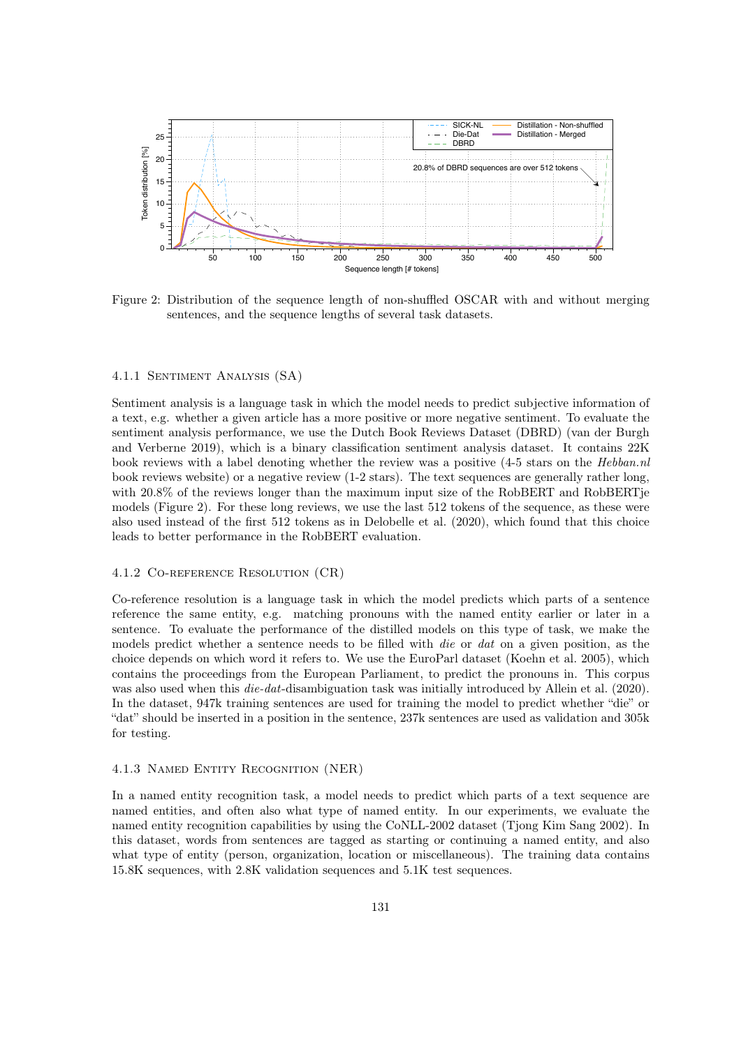

<span id="page-6-0"></span>Figure 2: Distribution of the sequence length of non-shuffled OSCAR with and without merging sentences, and the sequence lengths of several task datasets.

#### 4.1.1 Sentiment Analysis (SA)

Sentiment analysis is a language task in which the model needs to predict subjective information of a text, e.g. whether a given article has a more positive or more negative sentiment. To evaluate the sentiment analysis performance, we use the Dutch Book Reviews Dataset (DBRD) (van der Burgh and Verberne 2019), which is a binary classification sentiment analysis dataset. It contains 22K book reviews with a label denoting whether the review was a positive (4-5 stars on the Hebban.nl book reviews website) or a negative review (1-2 stars). The text sequences are generally rather long, with 20.8% of the reviews longer than the maximum input size of the RobBERT and RobBERT is models (Figure [2\)](#page-6-0). For these long reviews, we use the last 512 tokens of the sequence, as these were also used instead of the first 512 tokens as in Delobelle et al. (2020), which found that this choice leads to better performance in the RobBERT evaluation.

#### 4.1.2 Co-reference Resolution (CR)

Co-reference resolution is a language task in which the model predicts which parts of a sentence reference the same entity, e.g. matching pronouns with the named entity earlier or later in a sentence. To evaluate the performance of the distilled models on this type of task, we make the models predict whether a sentence needs to be filled with *die* or *dat* on a given position, as the choice depends on which word it refers to. We use the EuroParl dataset (Koehn et al. 2005), which contains the proceedings from the European Parliament, to predict the pronouns in. This corpus was also used when this *die-dat*-disambiguation task was initially introduced by Allein et al. (2020). In the dataset, 947k training sentences are used for training the model to predict whether "die" or "dat" should be inserted in a position in the sentence, 237k sentences are used as validation and 305k for testing.

#### 4.1.3 Named Entity Recognition (NER)

In a named entity recognition task, a model needs to predict which parts of a text sequence are named entities, and often also what type of named entity. In our experiments, we evaluate the named entity recognition capabilities by using the CoNLL-2002 dataset (Tjong Kim Sang 2002). In this dataset, words from sentences are tagged as starting or continuing a named entity, and also what type of entity (person, organization, location or miscellaneous). The training data contains 15.8K sequences, with 2.8K validation sequences and 5.1K test sequences.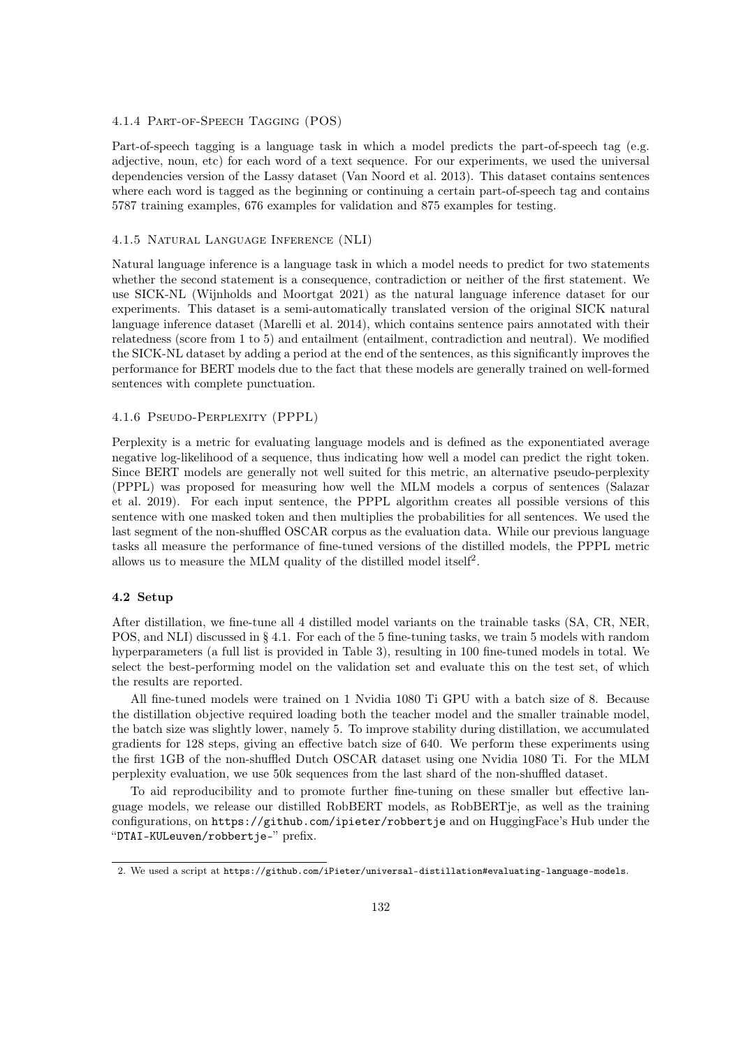#### 4.1.4 Part-of-Speech Tagging (POS)

Part-of-speech tagging is a language task in which a model predicts the part-of-speech tag (e.g. adjective, noun, etc) for each word of a text sequence. For our experiments, we used the universal dependencies version of the Lassy dataset (Van Noord et al. 2013). This dataset contains sentences where each word is tagged as the beginning or continuing a certain part-of-speech tag and contains 5787 training examples, 676 examples for validation and 875 examples for testing.

#### 4.1.5 Natural Language Inference (NLI)

Natural language inference is a language task in which a model needs to predict for two statements whether the second statement is a consequence, contradiction or neither of the first statement. We use SICK-NL (Wijnholds and Moortgat 2021) as the natural language inference dataset for our experiments. This dataset is a semi-automatically translated version of the original SICK natural language inference dataset (Marelli et al. 2014), which contains sentence pairs annotated with their relatedness (score from 1 to 5) and entailment (entailment, contradiction and neutral). We modified the SICK-NL dataset by adding a period at the end of the sentences, as this significantly improves the performance for BERT models due to the fact that these models are generally trained on well-formed sentences with complete punctuation.

#### 4.1.6 Pseudo-Perplexity (PPPL)

Perplexity is a metric for evaluating language models and is defined as the exponentiated average negative log-likelihood of a sequence, thus indicating how well a model can predict the right token. Since BERT models are generally not well suited for this metric, an alternative pseudo-perplexity (PPPL) was proposed for measuring how well the MLM models a corpus of sentences (Salazar et al. 2019). For each input sentence, the PPPL algorithm creates all possible versions of this sentence with one masked token and then multiplies the probabilities for all sentences. We used the last segment of the non-shuffled OSCAR corpus as the evaluation data. While our previous language tasks all measure the performance of fine-tuned versions of the distilled models, the PPPL metric allows us to measure the MLM quality of the distilled model itself<sup>[2](#page-7-0)</sup>.

#### 4.2 Setup

After distillation, we fine-tune all 4 distilled model variants on the trainable tasks (SA, CR, NER, POS, and NLI) discussed in [§ 4.1.](#page-5-1) For each of the 5 fine-tuning tasks, we train 5 models with random hyperparameters (a full list is provided in [Table 3\)](#page-15-0), resulting in 100 fine-tuned models in total. We select the best-performing model on the validation set and evaluate this on the test set, of which the results are reported.

All fine-tuned models were trained on 1 Nvidia 1080 Ti GPU with a batch size of 8. Because the distillation objective required loading both the teacher model and the smaller trainable model, the batch size was slightly lower, namely 5. To improve stability during distillation, we accumulated gradients for 128 steps, giving an effective batch size of 640. We perform these experiments using the first 1GB of the non-shuffled Dutch OSCAR dataset using one Nvidia 1080 Ti. For the MLM perplexity evaluation, we use 50k sequences from the last shard of the non-shuffled dataset.

To aid reproducibility and to promote further fine-tuning on these smaller but effective language models, we release our distilled RobBERT models, as RobBERTje, as well as the training configurations, on <https://github.com/ipieter/robbertje> and on HuggingFace's Hub under the "DTAI-KULeuven/robbertje-" prefix.

<span id="page-7-0"></span><sup>2.</sup> We used a script at [https://github.com/iPieter/universal-distillation#evaluating-language-models](https://github.com/iPieter/universal-distillation##evaluating-language-models).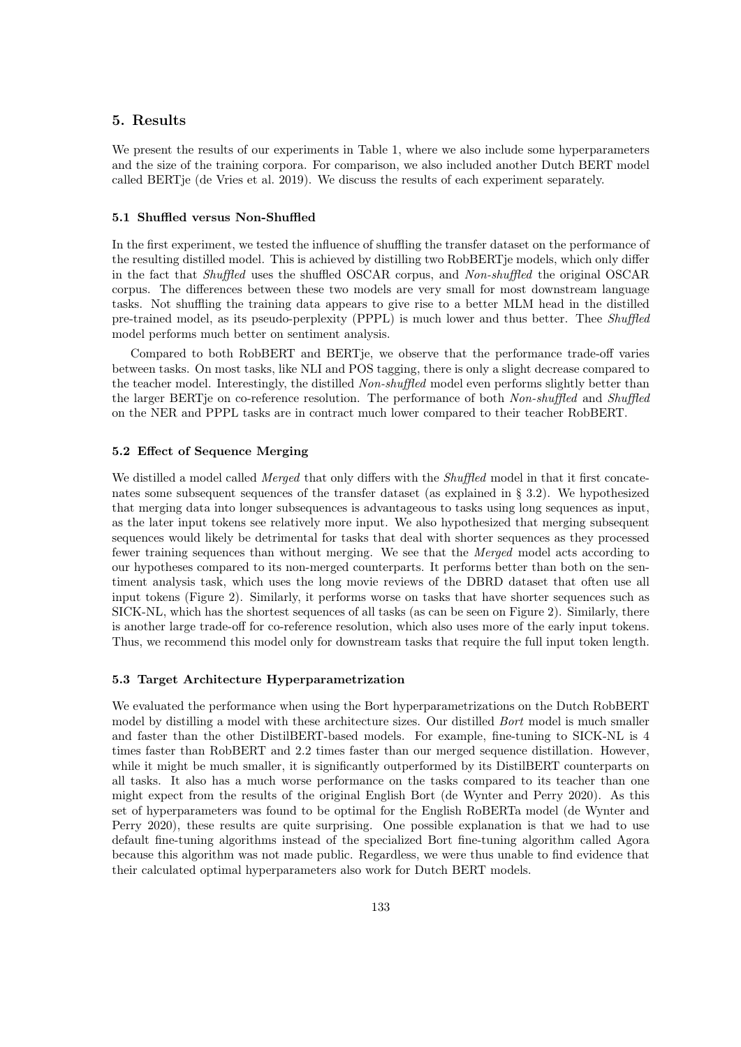## 5. Results

We present the results of our experiments in [Table 1,](#page-9-0) where we also include some hyperparameters and the size of the training corpora. For comparison, we also included another Dutch BERT model called BERTje (de Vries et al. 2019). We discuss the results of each experiment separately.

#### 5.1 Shuffled versus Non-Shuffled

In the first experiment, we tested the influence of shuffling the transfer dataset on the performance of the resulting distilled model. This is achieved by distilling two RobBERTje models, which only differ in the fact that Shuffled uses the shuffled OSCAR corpus, and Non-shuffled the original OSCAR corpus. The differences between these two models are very small for most downstream language tasks. Not shuffling the training data appears to give rise to a better MLM head in the distilled pre-trained model, as its pseudo-perplexity (PPPL) is much lower and thus better. Thee Shuffled model performs much better on sentiment analysis.

Compared to both RobBERT and BERTje, we observe that the performance trade-off varies between tasks. On most tasks, like NLI and POS tagging, there is only a slight decrease compared to the teacher model. Interestingly, the distilled Non-shuffled model even performs slightly better than the larger BERTje on co-reference resolution. The performance of both Non-shuffled and Shuffled on the NER and PPPL tasks are in contract much lower compared to their teacher RobBERT.

#### 5.2 Effect of Sequence Merging

We distilled a model called *Merged* that only differs with the *Shuffled* model in that it first concatenates some subsequent sequences of the transfer dataset (as explained in [§ 3.2\)](#page-4-1). We hypothesized that merging data into longer subsequences is advantageous to tasks using long sequences as input, as the later input tokens see relatively more input. We also hypothesized that merging subsequent sequences would likely be detrimental for tasks that deal with shorter sequences as they processed fewer training sequences than without merging. We see that the Merged model acts according to our hypotheses compared to its non-merged counterparts. It performs better than both on the sentiment analysis task, which uses the long movie reviews of the DBRD dataset that often use all input tokens (Figure [2\)](#page-6-0). Similarly, it performs worse on tasks that have shorter sequences such as SICK-NL, which has the shortest sequences of all tasks (as can be seen on [Figure 2\)](#page-6-0). Similarly, there is another large trade-off for co-reference resolution, which also uses more of the early input tokens. Thus, we recommend this model only for downstream tasks that require the full input token length.

#### 5.3 Target Architecture Hyperparametrization

We evaluated the performance when using the Bort hyperparametrizations on the Dutch RobBERT model by distilling a model with these architecture sizes. Our distilled *Bort* model is much smaller and faster than the other DistilBERT-based models. For example, fine-tuning to SICK-NL is 4 times faster than RobBERT and 2.2 times faster than our merged sequence distillation. However, while it might be much smaller, it is significantly outperformed by its DistilBERT counterparts on all tasks. It also has a much worse performance on the tasks compared to its teacher than one might expect from the results of the original English Bort (de Wynter and Perry 2020). As this set of hyperparameters was found to be optimal for the English RoBERTa model (de Wynter and Perry 2020), these results are quite surprising. One possible explanation is that we had to use default fine-tuning algorithms instead of the specialized Bort fine-tuning algorithm called Agora because this algorithm was not made public. Regardless, we were thus unable to find evidence that their calculated optimal hyperparameters also work for Dutch BERT models.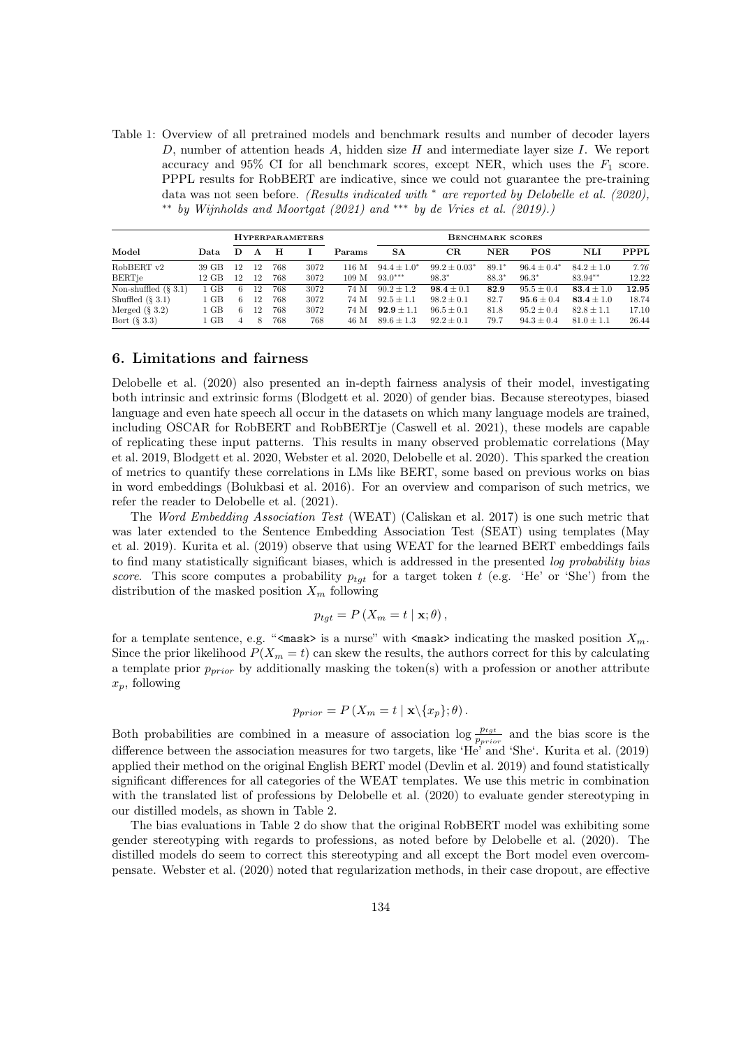<span id="page-9-0"></span>Table 1: Overview of all pretrained models and benchmark results and number of decoder layers D, number of attention heads A, hidden size H and intermediate layer size I. We report accuracy and 95% CI for all benchmark scores, except NER, which uses the  $F_1$  score. PPPL results for RobBERT are indicative, since we could not guarantee the pre-training data was not seen before. (Results indicated with <sup>∗</sup> are reported by Delobelle et al. (2020), ∗∗ by Wijnholds and Moortgat (2021) and ∗∗∗ by de Vries et al. (2019).)

|                         |        | <b>HYPERPARAMETERS</b> |    |     |      |                  | <b>BENCHMARK SCORES</b> |                   |         |                  |                |       |
|-------------------------|--------|------------------------|----|-----|------|------------------|-------------------------|-------------------|---------|------------------|----------------|-------|
| Model                   | Data   | D                      | A  | н   |      | Params           | <b>SA</b>               | $_{\rm CR}$       | NER.    | <b>POS</b>       | NLI            | PPPL  |
| RobBERT v2              | 39 GB  | 12                     | 12 | 768 | 3072 | 116 M            | $94.4 \pm 1.0^*$        | $99.2 \pm 0.03^*$ | $89.1*$ | $96.4 \pm 0.4^*$ | $84.2 \pm 1.0$ | 7.76  |
| <b>BERTie</b>           | 12 GB  | 12                     | 12 | 768 | 3072 | 109 <sub>M</sub> | $93.0***$               | $98.3*$           | $88.3*$ | $96.3*$          | 83.94**        | 12.22 |
| Non-shuffled $(\S 3.1)$ | 1 GB   | 6                      | 12 | 768 | 3072 | 74 M             | $90.2 \pm 1.2$          | $98.4 \pm 0.1$    | 82.9    | $95.5 \pm 0.4$   | $83.4 \pm 1.0$ | 12.95 |
| Shuffled $(\S 3.1)$     | 1 GB   | 6.                     | 12 | 768 | 3072 | 74 M             | $92.5 \pm 1.1$          | $98.2 \pm 0.1$    | 82.7    | $95.6 \pm 0.4$   | $83.4 \pm 1.0$ | 18.74 |
| Merged $(\S 3.2)$       | $1$ GB | 6.                     | 12 | 768 | 3072 | 74 M             | $92.9 \pm 1.1$          | $96.5 \pm 0.1$    | 81.8    | $95.2 \pm 0.4$   | $82.8 \pm 1.1$ | 17.10 |
| Bort $(\S 3.3)$         | 1 GB   | $\overline{4}$         | 8  | 768 | 768  | 46 M             | $89.6 + 1.3$            | $92.2 \pm 0.1$    | 79.7    | $94.3 \pm 0.4$   | $81.0 + 1.1$   | 26.44 |

#### 6. Limitations and fairness

Delobelle et al. (2020) also presented an in-depth fairness analysis of their model, investigating both intrinsic and extrinsic forms (Blodgett et al. 2020) of gender bias. Because stereotypes, biased language and even hate speech all occur in the datasets on which many language models are trained, including OSCAR for RobBERT and RobBERTje (Caswell et al. 2021), these models are capable of replicating these input patterns. This results in many observed problematic correlations (May et al. 2019, Blodgett et al. 2020, Webster et al. 2020, Delobelle et al. 2020). This sparked the creation of metrics to quantify these correlations in LMs like BERT, some based on previous works on bias in word embeddings (Bolukbasi et al. 2016). For an overview and comparison of such metrics, we refer the reader to Delobelle et al. (2021).

The Word Embedding Association Test (WEAT) (Caliskan et al. 2017) is one such metric that was later extended to the Sentence Embedding Association Test (SEAT) using templates (May et al. 2019). Kurita et al. (2019) observe that using WEAT for the learned BERT embeddings fails to find many statistically significant biases, which is addressed in the presented log probability bias score. This score computes a probability  $p_{tgt}$  for a target token t (e.g. 'He' or 'She') from the distribution of the masked position  $X_m$  following

$$
p_{tgt} = P\left(X_m = t \mid \mathbf{x}; \theta\right),
$$

for a template sentence, e.g. "<mask> is a nurse" with  $\langle \text{mask} \rangle$  indicating the masked position  $X_m$ . Since the prior likelihood  $P(X_m = t)$  can skew the results, the authors correct for this by calculating a template prior  $p_{prior}$  by additionally masking the token(s) with a profession or another attribute  $x_p$ , following

$$
p_{prior} = P\left(X_m = t \mid \mathbf{x} \setminus \{x_p\}; \theta\right).
$$

Both probabilities are combined in a measure of association  $\log \frac{p_{tgt}}{p_{prior}}$  and the bias score is the difference between the association measures for two targets, like 'He' and 'She'. Kurita et al. (2019) applied their method on the original English BERT model (Devlin et al. 2019) and found statistically significant differences for all categories of the WEAT templates. We use this metric in combination with the translated list of professions by Delobelle et al. (2020) to evaluate gender stereotyping in our distilled models, as shown in [Table 2.](#page-10-0)

The bias evaluations in [Table 2](#page-10-0) do show that the original RobBERT model was exhibiting some gender stereotyping with regards to professions, as noted before by Delobelle et al. (2020). The distilled models do seem to correct this stereotyping and all except the Bort model even overcompensate. Webster et al. (2020) noted that regularization methods, in their case dropout, are effective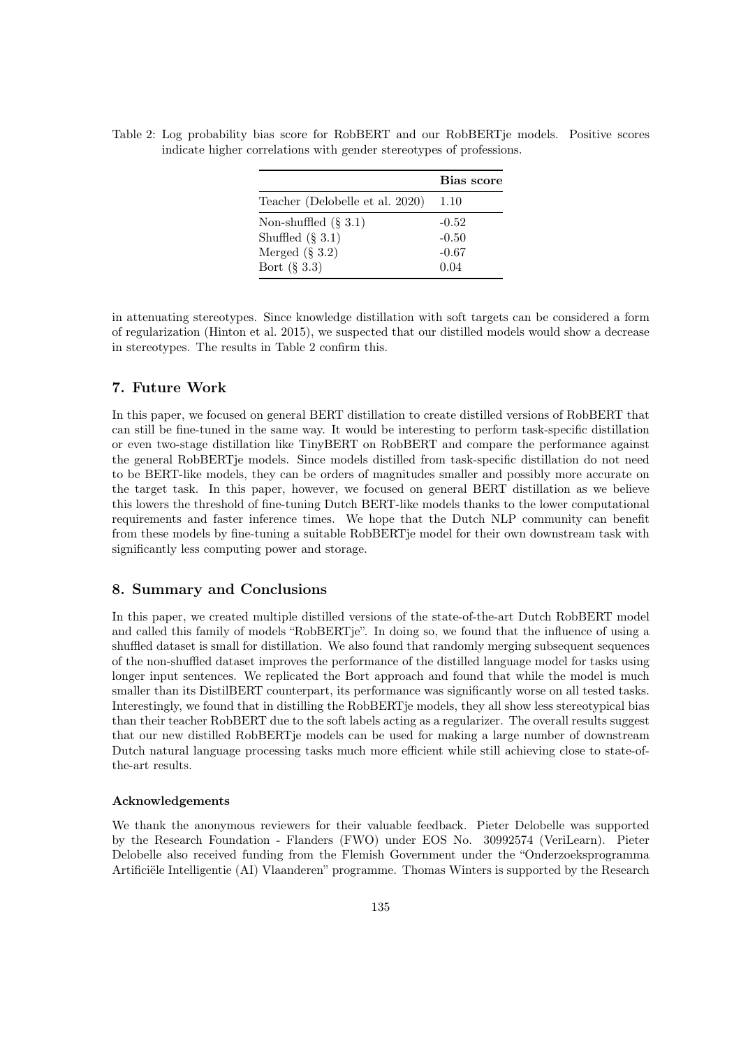<span id="page-10-0"></span>

|                                                                      |  | Table 2: Log probability bias score for RobBERT and our RobBERT je models. Positive scores |  |
|----------------------------------------------------------------------|--|--------------------------------------------------------------------------------------------|--|
| indicate higher correlations with gender stereotypes of professions. |  |                                                                                            |  |

|                                                                                        | Bias score                            |
|----------------------------------------------------------------------------------------|---------------------------------------|
| Teacher (Delobelle et al. 2020)                                                        | 1.10                                  |
| Non-shuffled $(\S 3.1)$<br>Shuffled $(\S 3.1)$<br>Merged $(\S 3.2)$<br>Bort $(\S 3.3)$ | $-0.52$<br>$-0.50$<br>$-0.67$<br>0.04 |

in attenuating stereotypes. Since knowledge distillation with soft targets can be considered a form of regularization (Hinton et al. 2015), we suspected that our distilled models would show a decrease in stereotypes. The results in [Table 2](#page-10-0) confirm this.

## 7. Future Work

In this paper, we focused on general BERT distillation to create distilled versions of RobBERT that can still be fine-tuned in the same way. It would be interesting to perform task-specific distillation or even two-stage distillation like TinyBERT on RobBERT and compare the performance against the general RobBERTje models. Since models distilled from task-specific distillation do not need to be BERT-like models, they can be orders of magnitudes smaller and possibly more accurate on the target task. In this paper, however, we focused on general BERT distillation as we believe this lowers the threshold of fine-tuning Dutch BERT-like models thanks to the lower computational requirements and faster inference times. We hope that the Dutch NLP community can benefit from these models by fine-tuning a suitable RobBERTje model for their own downstream task with significantly less computing power and storage.

#### 8. Summary and Conclusions

In this paper, we created multiple distilled versions of the state-of-the-art Dutch RobBERT model and called this family of models "RobBERTje". In doing so, we found that the influence of using a shuffled dataset is small for distillation. We also found that randomly merging subsequent sequences of the non-shuffled dataset improves the performance of the distilled language model for tasks using longer input sentences. We replicated the Bort approach and found that while the model is much smaller than its DistilBERT counterpart, its performance was significantly worse on all tested tasks. Interestingly, we found that in distilling the RobBERTje models, they all show less stereotypical bias than their teacher RobBERT due to the soft labels acting as a regularizer. The overall results suggest that our new distilled RobBERTje models can be used for making a large number of downstream Dutch natural language processing tasks much more efficient while still achieving close to state-ofthe-art results.

#### Acknowledgements

We thank the anonymous reviewers for their valuable feedback. Pieter Delobelle was supported by the Research Foundation - Flanders (FWO) under EOS No. 30992574 (VeriLearn). Pieter Delobelle also received funding from the Flemish Government under the "Onderzoeksprogramma Artificiële Intelligentie (AI) Vlaanderen" programme. Thomas Winters is supported by the Research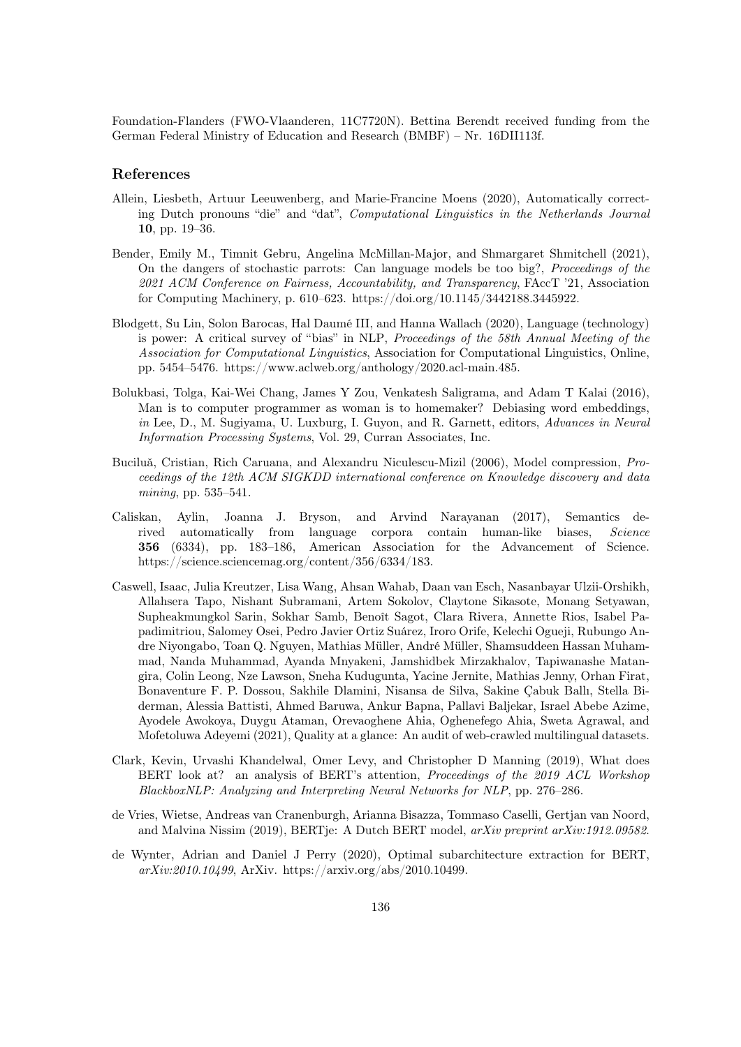Foundation-Flanders (FWO-Vlaanderen, 11C7720N). Bettina Berendt received funding from the German Federal Ministry of Education and Research (BMBF) – Nr. 16DII113f.

#### References

- Allein, Liesbeth, Artuur Leeuwenberg, and Marie-Francine Moens (2020), Automatically correcting Dutch pronouns "die" and "dat", Computational Linguistics in the Netherlands Journal 10, pp. 19–36.
- Bender, Emily M., Timnit Gebru, Angelina McMillan-Major, and Shmargaret Shmitchell (2021), On the dangers of stochastic parrots: Can language models be too big?, Proceedings of the 2021 ACM Conference on Fairness, Accountability, and Transparency, FAccT '21, Association for Computing Machinery, p. 610–623. https://doi.org/10.1145/3442188.3445922.
- Blodgett, Su Lin, Solon Barocas, Hal Daumé III, and Hanna Wallach (2020), Language (technology) is power: A critical survey of "bias" in NLP, Proceedings of the 58th Annual Meeting of the Association for Computational Linguistics, Association for Computational Linguistics, Online, pp. 5454–5476. https://www.aclweb.org/anthology/2020.acl-main.485.
- Bolukbasi, Tolga, Kai-Wei Chang, James Y Zou, Venkatesh Saligrama, and Adam T Kalai (2016), Man is to computer programmer as woman is to homemaker? Debiasing word embeddings, in Lee, D., M. Sugiyama, U. Luxburg, I. Guyon, and R. Garnett, editors, Advances in Neural Information Processing Systems, Vol. 29, Curran Associates, Inc.
- Buciluă, Cristian, Rich Caruana, and Alexandru Niculescu-Mizil (2006), Model compression, *Pro*ceedings of the 12th ACM SIGKDD international conference on Knowledge discovery and data mining, pp. 535–541.
- Caliskan, Aylin, Joanna J. Bryson, and Arvind Narayanan (2017), Semantics derived automatically from language corpora contain human-like biases, Science 356 (6334), pp. 183–186, American Association for the Advancement of Science. https://science.sciencemag.org/content/356/6334/183.
- Caswell, Isaac, Julia Kreutzer, Lisa Wang, Ahsan Wahab, Daan van Esch, Nasanbayar Ulzii-Orshikh, Allahsera Tapo, Nishant Subramani, Artem Sokolov, Claytone Sikasote, Monang Setyawan, Supheakmungkol Sarin, Sokhar Samb, Benoît Sagot, Clara Rivera, Annette Rios, Isabel Papadimitriou, Salomey Osei, Pedro Javier Ortiz Suárez, Iroro Orife, Kelechi Ogueji, Rubungo Andre Niyongabo, Toan Q. Nguyen, Mathias Müller, André Müller, Shamsuddeen Hassan Muhammad, Nanda Muhammad, Ayanda Mnyakeni, Jamshidbek Mirzakhalov, Tapiwanashe Matangira, Colin Leong, Nze Lawson, Sneha Kudugunta, Yacine Jernite, Mathias Jenny, Orhan Firat, Bonaventure F. P. Dossou, Sakhile Dlamini, Nisansa de Silva, Sakine Çabuk Ballı, Stella Biderman, Alessia Battisti, Ahmed Baruwa, Ankur Bapna, Pallavi Baljekar, Israel Abebe Azime, Ayodele Awokoya, Duygu Ataman, Orevaoghene Ahia, Oghenefego Ahia, Sweta Agrawal, and Mofetoluwa Adeyemi (2021), Quality at a glance: An audit of web-crawled multilingual datasets.
- Clark, Kevin, Urvashi Khandelwal, Omer Levy, and Christopher D Manning (2019), What does BERT look at? an analysis of BERT's attention, *Proceedings of the 2019 ACL Workshop* BlackboxNLP: Analyzing and Interpreting Neural Networks for NLP, pp. 276–286.
- de Vries, Wietse, Andreas van Cranenburgh, Arianna Bisazza, Tommaso Caselli, Gertjan van Noord, and Malvina Nissim (2019), BERTje: A Dutch BERT model, arXiv preprint arXiv:1912.09582.
- de Wynter, Adrian and Daniel J Perry (2020), Optimal subarchitecture extraction for BERT, arXiv:2010.10499, ArXiv. https://arxiv.org/abs/2010.10499.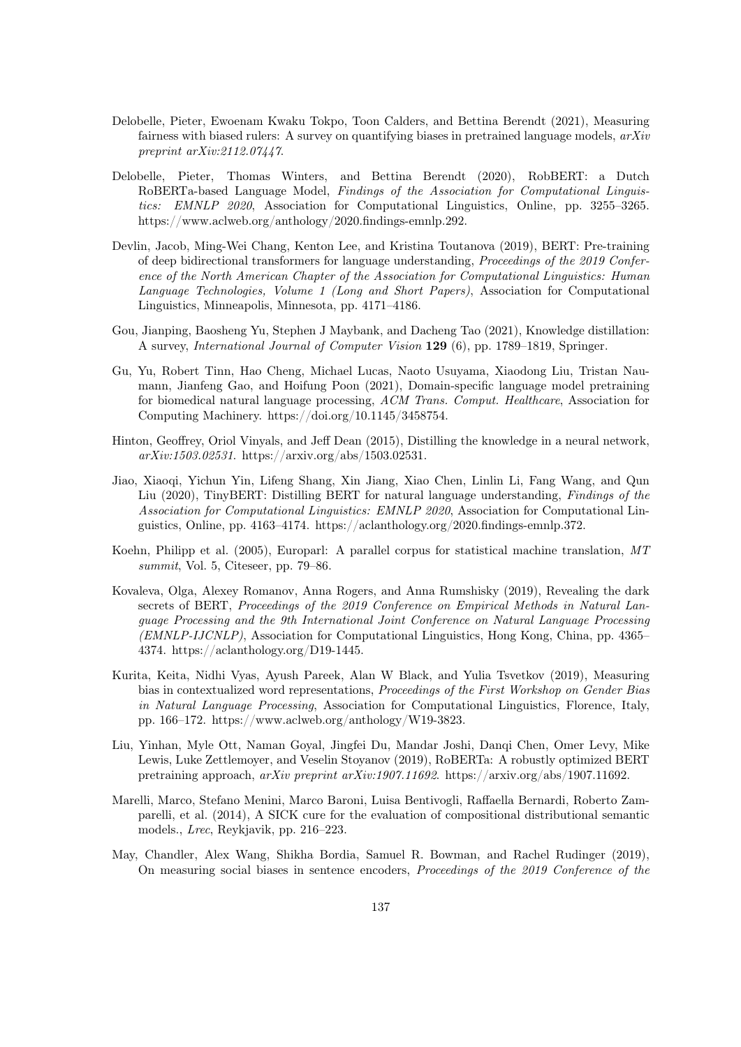- Delobelle, Pieter, Ewoenam Kwaku Tokpo, Toon Calders, and Bettina Berendt (2021), Measuring fairness with biased rulers: A survey on quantifying biases in pretrained language models,  $arXiv$ preprint arXiv:2112.07447.
- Delobelle, Pieter, Thomas Winters, and Bettina Berendt (2020), RobBERT: a Dutch RoBERTa-based Language Model, Findings of the Association for Computational Linguistics: EMNLP 2020, Association for Computational Linguistics, Online, pp. 3255–3265. https://www.aclweb.org/anthology/2020.findings-emnlp.292.
- Devlin, Jacob, Ming-Wei Chang, Kenton Lee, and Kristina Toutanova (2019), BERT: Pre-training of deep bidirectional transformers for language understanding, Proceedings of the 2019 Conference of the North American Chapter of the Association for Computational Linguistics: Human Language Technologies, Volume 1 (Long and Short Papers), Association for Computational Linguistics, Minneapolis, Minnesota, pp. 4171–4186.
- Gou, Jianping, Baosheng Yu, Stephen J Maybank, and Dacheng Tao (2021), Knowledge distillation: A survey, International Journal of Computer Vision 129 (6), pp. 1789–1819, Springer.
- Gu, Yu, Robert Tinn, Hao Cheng, Michael Lucas, Naoto Usuyama, Xiaodong Liu, Tristan Naumann, Jianfeng Gao, and Hoifung Poon (2021), Domain-specific language model pretraining for biomedical natural language processing, ACM Trans. Comput. Healthcare, Association for Computing Machinery. https://doi.org/10.1145/3458754.
- Hinton, Geoffrey, Oriol Vinyals, and Jeff Dean (2015), Distilling the knowledge in a neural network, arXiv:1503.02531. https://arxiv.org/abs/1503.02531.
- Jiao, Xiaoqi, Yichun Yin, Lifeng Shang, Xin Jiang, Xiao Chen, Linlin Li, Fang Wang, and Qun Liu (2020), TinyBERT: Distilling BERT for natural language understanding, Findings of the Association for Computational Linguistics: EMNLP 2020, Association for Computational Linguistics, Online, pp. 4163–4174. https://aclanthology.org/2020.findings-emnlp.372.
- Koehn, Philipp et al. (2005), Europarl: A parallel corpus for statistical machine translation, MT summit, Vol. 5, Citeseer, pp. 79–86.
- Kovaleva, Olga, Alexey Romanov, Anna Rogers, and Anna Rumshisky (2019), Revealing the dark secrets of BERT, Proceedings of the 2019 Conference on Empirical Methods in Natural Language Processing and the 9th International Joint Conference on Natural Language Processing (EMNLP-IJCNLP), Association for Computational Linguistics, Hong Kong, China, pp. 4365– 4374. https://aclanthology.org/D19-1445.
- Kurita, Keita, Nidhi Vyas, Ayush Pareek, Alan W Black, and Yulia Tsvetkov (2019), Measuring bias in contextualized word representations, Proceedings of the First Workshop on Gender Bias in Natural Language Processing, Association for Computational Linguistics, Florence, Italy, pp. 166–172. https://www.aclweb.org/anthology/W19-3823.
- Liu, Yinhan, Myle Ott, Naman Goyal, Jingfei Du, Mandar Joshi, Danqi Chen, Omer Levy, Mike Lewis, Luke Zettlemoyer, and Veselin Stoyanov (2019), RoBERTa: A robustly optimized BERT pretraining approach, arXiv preprint arXiv:1907.11692. https://arxiv.org/abs/1907.11692.
- Marelli, Marco, Stefano Menini, Marco Baroni, Luisa Bentivogli, Raffaella Bernardi, Roberto Zamparelli, et al. (2014), A SICK cure for the evaluation of compositional distributional semantic models., Lrec, Reykjavik, pp. 216–223.
- May, Chandler, Alex Wang, Shikha Bordia, Samuel R. Bowman, and Rachel Rudinger (2019), On measuring social biases in sentence encoders, Proceedings of the 2019 Conference of the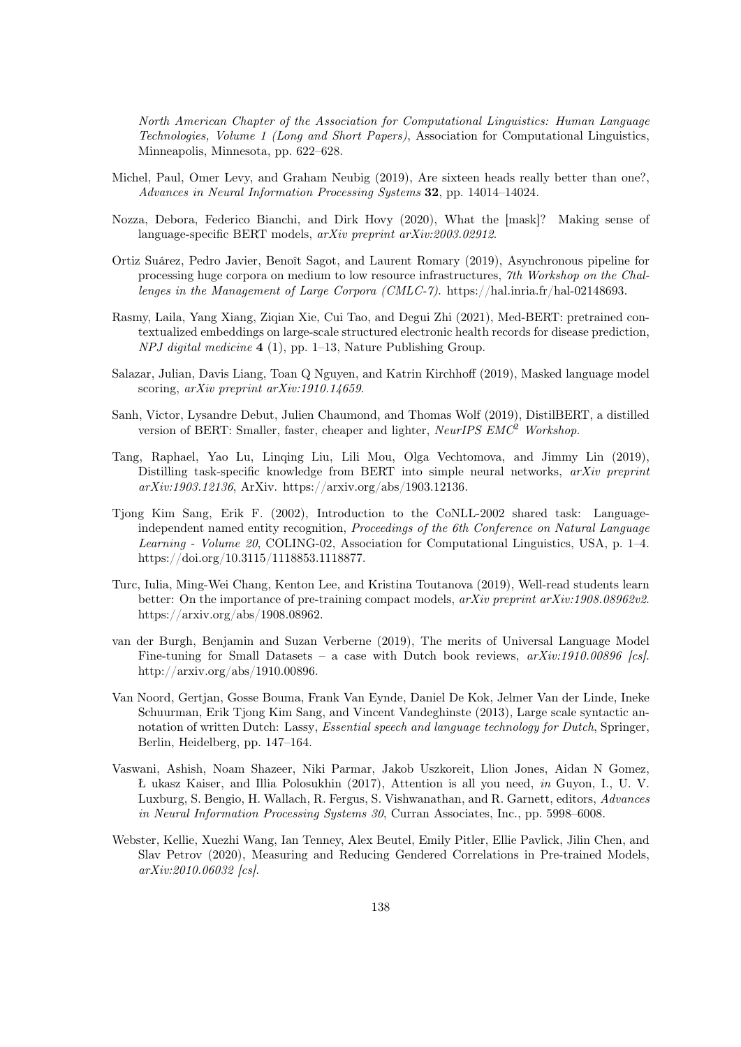North American Chapter of the Association for Computational Linguistics: Human Language Technologies, Volume 1 (Long and Short Papers), Association for Computational Linguistics, Minneapolis, Minnesota, pp. 622–628.

- Michel, Paul, Omer Levy, and Graham Neubig (2019), Are sixteen heads really better than one?, Advances in Neural Information Processing Systems 32, pp. 14014–14024.
- Nozza, Debora, Federico Bianchi, and Dirk Hovy (2020), What the [mask]? Making sense of language-specific BERT models, arXiv preprint arXiv:2003.02912.
- Ortiz Suárez, Pedro Javier, Benoît Sagot, and Laurent Romary (2019), Asynchronous pipeline for processing huge corpora on medium to low resource infrastructures, 7th Workshop on the Challenges in the Management of Large Corpora (CMLC-7). https://hal.inria.fr/hal-02148693.
- Rasmy, Laila, Yang Xiang, Ziqian Xie, Cui Tao, and Degui Zhi (2021), Med-BERT: pretrained contextualized embeddings on large-scale structured electronic health records for disease prediction,  $NPI$  digital medicine 4 (1), pp. 1–13, Nature Publishing Group.
- Salazar, Julian, Davis Liang, Toan Q Nguyen, and Katrin Kirchhoff (2019), Masked language model scoring, arXiv preprint arXiv:1910.14659.
- Sanh, Victor, Lysandre Debut, Julien Chaumond, and Thomas Wolf (2019), DistilBERT, a distilled version of BERT: Smaller, faster, cheaper and lighter,  $NeurIPSEMC^2$  Workshop.
- Tang, Raphael, Yao Lu, Linqing Liu, Lili Mou, Olga Vechtomova, and Jimmy Lin (2019), Distilling task-specific knowledge from BERT into simple neural networks,  $arXiv$  preprint arXiv:1903.12136, ArXiv. https://arxiv.org/abs/1903.12136.
- Tjong Kim Sang, Erik F. (2002), Introduction to the CoNLL-2002 shared task: Languageindependent named entity recognition, Proceedings of the 6th Conference on Natural Language Learning - Volume 20, COLING-02, Association for Computational Linguistics, USA, p. 1–4. https://doi.org/10.3115/1118853.1118877.
- Turc, Iulia, Ming-Wei Chang, Kenton Lee, and Kristina Toutanova (2019), Well-read students learn better: On the importance of pre-training compact models, arXiv preprint arXiv:1908.08962v2. https://arxiv.org/abs/1908.08962.
- van der Burgh, Benjamin and Suzan Verberne (2019), The merits of Universal Language Model Fine-tuning for Small Datasets – a case with Dutch book reviews,  $arXiv:1910.00896$  [cs]. http://arxiv.org/abs/1910.00896.
- Van Noord, Gertjan, Gosse Bouma, Frank Van Eynde, Daniel De Kok, Jelmer Van der Linde, Ineke Schuurman, Erik Tjong Kim Sang, and Vincent Vandeghinste (2013), Large scale syntactic annotation of written Dutch: Lassy, Essential speech and language technology for Dutch, Springer, Berlin, Heidelberg, pp. 147–164.
- Vaswani, Ashish, Noam Shazeer, Niki Parmar, Jakob Uszkoreit, Llion Jones, Aidan N Gomez, Ł ukasz Kaiser, and Illia Polosukhin (2017), Attention is all you need, in Guyon, I., U. V. Luxburg, S. Bengio, H. Wallach, R. Fergus, S. Vishwanathan, and R. Garnett, editors, Advances in Neural Information Processing Systems 30, Curran Associates, Inc., pp. 5998–6008.
- Webster, Kellie, Xuezhi Wang, Ian Tenney, Alex Beutel, Emily Pitler, Ellie Pavlick, Jilin Chen, and Slav Petrov (2020), Measuring and Reducing Gendered Correlations in Pre-trained Models, arXiv:2010.06032 [cs].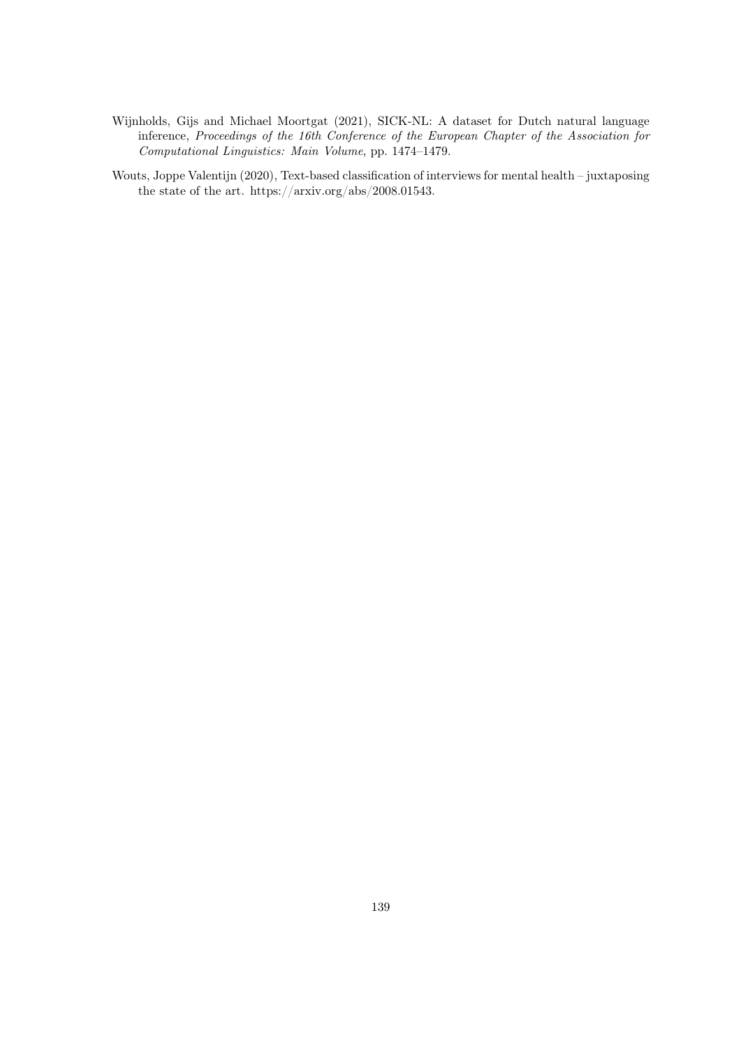- Wijnholds, Gijs and Michael Moortgat (2021), SICK-NL: A dataset for Dutch natural language inference, Proceedings of the 16th Conference of the European Chapter of the Association for Computational Linguistics: Main Volume, pp. 1474–1479.
- Wouts, Joppe Valentijn (2020), Text-based classification of interviews for mental health juxtaposing the state of the art. https://arxiv.org/abs/2008.01543.